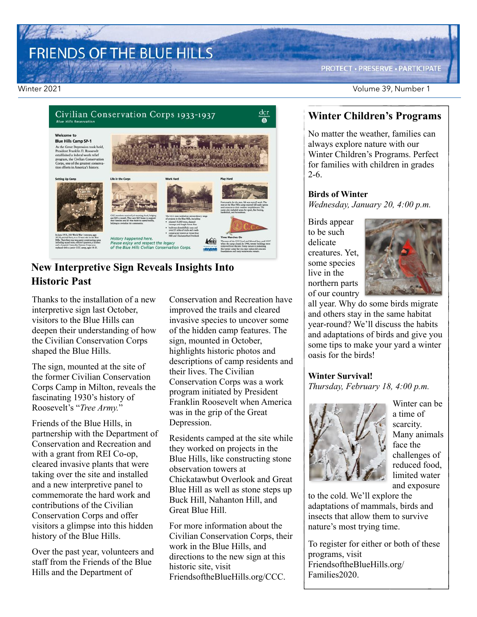# FRIENDS OF THE BLUE HILLS

**PROTECT · PRESERVE · PARTICIPATE** 

Winter 2021 Volume 39, Number 1



#### **New Interpretive Sign Reveals Insights Into Historic Past**

Thanks to the installation of a new interpretive sign last October, visitors to the Blue Hills can deepen their understanding of how the Civilian Conservation Corps shaped the Blue Hills.

The sign, mounted at the site of the former Civilian Conservation Corps Camp in Milton, reveals the fascinating 1930's history of Roosevelt's "*Tree Army.*"

Friends of the Blue Hills, in partnership with the Department of Conservation and Recreation and with a grant from REI Co-op, cleared invasive plants that were taking over the site and installed and a new interpretive panel to commemorate the hard work and contributions of the Civilian Conservation Corps and offer visitors a glimpse into this hidden history of the Blue Hills.

Over the past year, volunteers and staff from the Friends of the Blue Hills and the Department of

Conservation and Recreation have improved the trails and cleared invasive species to uncover some of the hidden camp features. The sign, mounted in October, highlights historic photos and descriptions of camp residents and their lives. The Civilian Conservation Corps was a work program initiated by President Franklin Roosevelt when America was in the grip of the Great Depression.

Residents camped at the site while they worked on projects in the Blue Hills, like constructing stone observation towers at Chickatawbut Overlook and Great Blue Hill as well as stone steps up Buck Hill, Nahanton Hill, and Great Blue Hill.

For more information about the Civilian Conservation Corps, their work in the Blue Hills, and directions to the new sign at this historic site, visit FriendsoftheBlueHills.org/CCC.

#### **Winter Children's Programs**

No matter the weather, families can always explore nature with our Winter Children's Programs. Perfect for families with children in grades 2-6.

#### **Birds of Winter**

*Wednesday, January 20, 4:00 p.m.* 

Birds appear to be such delicate creatures. Yet, some species live in the northern parts of our country



all year. Why do some birds migrate and others stay in the same habitat year-round? We'll discuss the habits and adaptations of birds and give you some tips to make your yard a winter oasis for the birds!

#### **Winter Survival!**

*Thursday, February 18, 4:00 p.m.*



Winter can be a time of scarcity. Many animals face the challenges of reduced food, limited water and exposure

to the cold. We'll explore the adaptations of mammals, birds and insects that allow them to survive nature's most trying time.

To register for either or both of these programs, visit [FriendsoftheBlueHills.org/](http://FriendsoftheBlueHills.org/Families2020/) [Families2020](http://FriendsoftheBlueHills.org/Families2020/).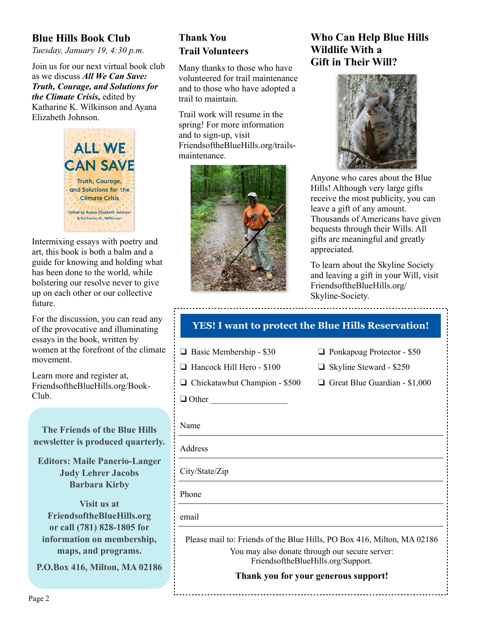#### **Blue Hills Book Club**

*Tuesday, January 19, 4:30 p.m.*

Join us for our next virtual book club as we discuss *All We Can Save: Truth, Courage, and Solutions for the Climate Crisis,* edited by Katharine K. Wilkinson and Ayana Elizabeth Johnson.



Intermixing essays with poetry and art, this book is both a balm and a guide for knowing and holding what has been done to the world, while bolstering our resolve never to give up on each other or our collective future.

For the discussion, you can read any of the provocative and illuminating essays in the book, written by women at the forefront of the climate movement.

Learn more and register at, [FriendsoftheBlueHills.org/Book-](http://FriendsoftheBlueHills.org/Book-Club/)[Club](http://FriendsoftheBlueHills.org/Book-Club/).

**The Friends of the Blue Hills newsletter is produced quarterly.**

**Editors: Maile Panerio-Langer Judy Lehrer Jacobs Barbara Kirby** 

**Visit us at [FriendsoftheBlueHills.org](http://FriendsoftheBlueHills.org) or call (781) 828-1805 for information on membership, maps, and programs.**

**P.O.Box 416, Milton, MA 02186** 

### **Thank You Trail Volunteers**

Many thanks to those who have volunteered for trail maintenance and to those who have adopted a trail to maintain.

Trail work will resume in the spring! For more information and to sign-up, visit [FriendsoftheBlueHills.org/trails](http://FriendsoftheBlueHills.org/trails-maintenance/)[maintenance.](http://FriendsoftheBlueHills.org/trails-maintenance/)



#### **Who Can Help Blue Hills Wildlife With a Gift in Their Will?**



Anyone who cares about the Blue Hills! Although very large gifts receive the most publicity, you can leave a gift of any amount. Thousands of Americans have given bequests through their Wills. All gifts are meaningful and greatly appreciated.

To learn about the Skyline Society and leaving a gift in your Will, visit [FriendsoftheBlueHills.org/](http://FriendsoftheBlueHills.org/) Skyline-Society.

| <b>YES!</b> I want to protect the Blue Hills Reservation! |                                                                                                                                                                 |
|-----------------------------------------------------------|-----------------------------------------------------------------------------------------------------------------------------------------------------------------|
| $\Box$ Basic Membership - \$30                            | $\Box$ Ponkapoag Protector - \$50                                                                                                                               |
| $\Box$ Hancock Hill Hero - \$100                          | $\Box$ Skyline Steward - \$250                                                                                                                                  |
| $\Box$ Chickatawbut Champion - \$500                      | $\Box$ Great Blue Guardian - \$1,000                                                                                                                            |
| $\Box$ Other                                              |                                                                                                                                                                 |
| Name                                                      |                                                                                                                                                                 |
| Address                                                   |                                                                                                                                                                 |
| City/State/Zip                                            |                                                                                                                                                                 |
| Phone                                                     |                                                                                                                                                                 |
| email                                                     |                                                                                                                                                                 |
|                                                           | Please mail to: Friends of the Blue Hills, PO Box 416, Milton, MA 02186<br>You may also donate through our secure server:<br>FriendsoftheBlueHills.org/Support. |
|                                                           | Thank you for your generous support!                                                                                                                            |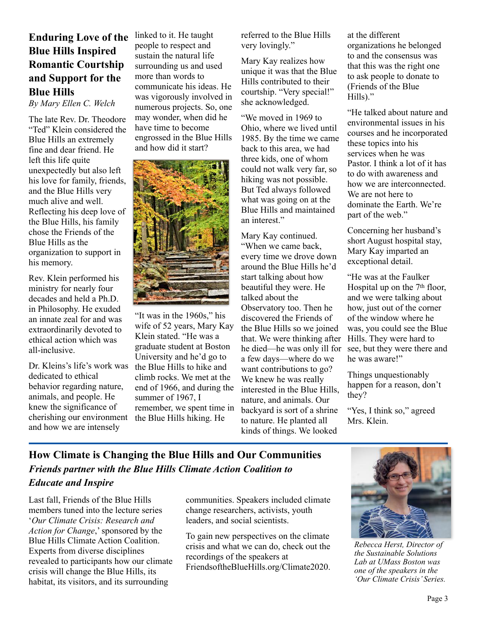### **Enduring Love of the Blue Hills Inspired Romantic Courtship and Support for the Blue Hills**

*By Mary Ellen C. Welch*

The late Rev. Dr. Theodore "Ted" Klein considered the Blue Hills an extremely fine and dear friend. He left this life quite unexpectedly but also left his love for family, friends, and the Blue Hills very much alive and well. Reflecting his deep love of the Blue Hills, his family chose the Friends of the Blue Hills as the organization to support in his memory.

Rev. Klein performed his ministry for nearly four decades and held a Ph.D. in Philosophy. He exuded an innate zeal for and was extraordinarily devoted to ethical action which was all-inclusive.

Dr. Kleins's life's work was dedicated to ethical behavior regarding nature, animals, and people. He knew the significance of cherishing our environment and how we are intensely

linked to it. He taught people to respect and sustain the natural life surrounding us and used more than words to communicate his ideas. He was vigorously involved in numerous projects. So, one may wonder, when did he have time to become engrossed in the Blue Hills and how did it start?



"It was in the 1960s," his wife of 52 years, Mary Kay Klein stated. "He was a graduate student at Boston University and he'd go to the Blue Hills to hike and climb rocks. We met at the end of 1966, and during the summer of 1967, I remember, we spent time in the Blue Hills hiking. He

referred to the Blue Hills very lovingly."

Mary Kay realizes how unique it was that the Blue Hills contributed to their courtship. "Very special!" she acknowledged.

"We moved in 1969 to Ohio, where we lived until 1985. By the time we came back to this area, we had three kids, one of whom could not walk very far, so hiking was not possible. But Ted always followed what was going on at the Blue Hills and maintained an interest."

Mary Kay continued. "When we came back, every time we drove down around the Blue Hills he'd start talking about how beautiful they were. He talked about the Observatory too. Then he discovered the Friends of the Blue Hills so we joined that. We were thinking after he died—he was only ill for a few days—where do we want contributions to go? We knew he was really interested in the Blue Hills, nature, and animals. Our backyard is sort of a shrine to nature. He planted all kinds of things. We looked

at the different organizations he belonged to and the consensus was that this was the right one to ask people to donate to (Friends of the Blue Hills)."

"He talked about nature and environmental issues in his courses and he incorporated these topics into his services when he was Pastor. I think a lot of it has to do with awareness and how we are interconnected. We are not here to dominate the Earth. We're part of the web."

Concerning her husband's short August hospital stay, Mary Kay imparted an exceptional detail.

"He was at the Faulker Hospital up on the 7th floor, and we were talking about how, just out of the corner of the window where he was, you could see the Blue Hills. They were hard to see, but they were there and he was aware!"

Things unquestionably happen for a reason, don't they?

"Yes, I think so," agreed Mrs. Klein.

#### **How Climate is Changing the Blue Hills and Our Communities** *Friends partner with the Blue Hills Climate Action Coalition to Educate and Inspire*

Last fall, Friends of the Blue Hills members tuned into the lecture series '*Our Climate Crisis: Research and Action for Change*,' sponsored by the Blue Hills Climate Action Coalition. Experts from diverse disciplines revealed to participants how our climate crisis will change the Blue Hills, its habitat, its visitors, and its surrounding

communities. Speakers included climate change researchers, activists, youth leaders, and social scientists.

To gain new perspectives on the climate crisis and what we can do, check out the recordings of the speakers at FriendsoftheBlueHills.org/Climate2020.



*Rebecca Herst, Director of the Sustainable Solutions Lab at UMass Boston was one of the speakers in the 'Our Climate Crisis' Series.*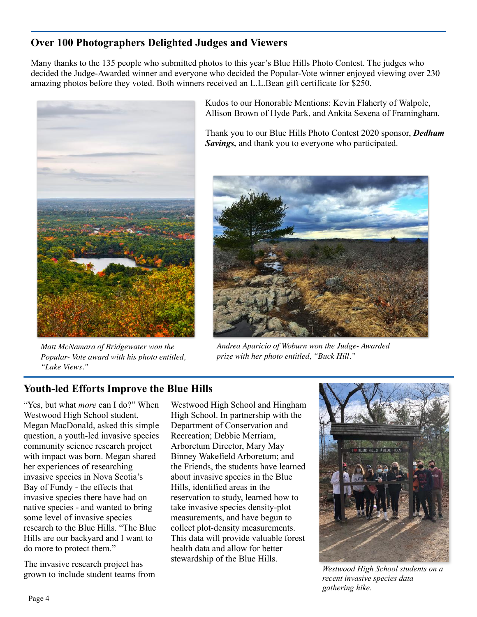#### **Over 100 Photographers Delighted Judges and Viewers**

Many thanks to the 135 people who submitted photos to this year's Blue Hills Photo Contest. The judges who decided the Judge-Awarded winner and everyone who decided the Popular-Vote winner enjoyed viewing over 230 amazing photos before they voted. Both winners received an L.L.Bean gift certificate for \$250.



*Matt McNamara of Bridgewater won the Popular- Vote award with his photo entitled, "Lake Views."* 

Kudos to our Honorable Mentions: Kevin Flaherty of Walpole, Allison Brown of Hyde Park, and Ankita Sexena of Framingham.

Thank you to our Blue Hills Photo Contest 2020 sponsor, *Dedham Savings,* and thank you to everyone who participated.



*Andrea Aparicio of Woburn won the Judge- Awarded prize with her photo entitled, "Buck Hill."* 

#### **Youth-led Efforts Improve the Blue Hills**

"Yes, but what *more* can I do?" When Westwood High School student, Megan MacDonald, asked this simple question, a youth-led invasive species community science research project with impact was born. Megan shared her experiences of researching invasive species in Nova Scotia's Bay of Fundy - the effects that invasive species there have had on native species - and wanted to bring some level of invasive species research to the Blue Hills. "The Blue Hills are our backyard and I want to do more to protect them."

The invasive research project has grown to include student teams from

Westwood High School and Hingham High School. In partnership with the Department of Conservation and Recreation; Debbie Merriam, Arboretum Director, Mary May Binney Wakefield Arboretum; and the Friends, the students have learned about invasive species in the Blue Hills, identified areas in the reservation to study, learned how to take invasive species density-plot measurements, and have begun to collect plot-density measurements. This data will provide valuable forest health data and allow for better stewardship of the Blue Hills.



*Westwood High School students on a recent invasive species data gathering hike.*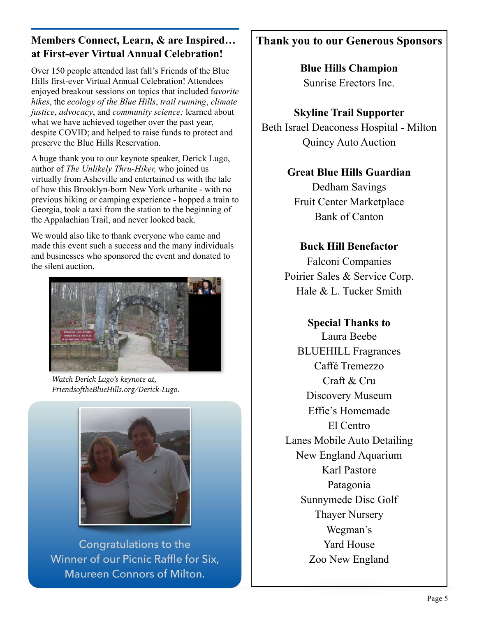#### **Members Connect, Learn, & are Inspired… at First-ever Virtual Annual Celebration!**

Over 150 people attended last fall's Friends of the Blue Hills first-ever Virtual Annual Celebration! Attendees enjoyed breakout sessions on topics that included f*avorite hikes*, the *ecology of the Blue Hills*, *trail running*, *climate justice*, *advocacy*, and *community science;* learned about what we have achieved together over the past year, despite COVID; and helped to raise funds to protect and preserve the Blue Hills Reservation.

A huge thank you to our keynote speaker, Derick Lugo, author of *The Unlikely Thru-Hiker,* who joined us virtually from Asheville and entertained us with the tale of how this Brooklyn-born New York urbanite - with no previous hiking or camping experience - hopped a train to Georgia, took a taxi from the station to the beginning of the Appalachian Trail, and never looked back.

We would also like to thank everyone who came and made this event such a success and the many individuals and businesses who sponsored the event and donated to the silent auction.



*Watch Derick Lugo's keynote at, [FriendsoftheBlueHills.org/Derick-Lugo](http://FriendsoftheBlueHills.org/Derick-Lugo/).* 



Congratulations to the Winner of our Picnic Raffle for Six, Maureen Connors of Milton.

# **Thank you to our Generous Sponsors**

**Blue Hills Champion** Sunrise Erectors Inc.

## **Skyline Trail Supporter**

Beth Israel Deaconess Hospital - Milton Quincy Auto Auction

## **Great Blue Hills Guardian**

Dedham Savings Fruit Center Marketplace Bank of Canton

### **Buck Hill Benefactor**

Falconi Companies Poirier Sales & Service Corp. Hale & L. Tucker Smith

# **Special Thanks to**

Laura Beebe BLUEHILL Fragrances Caffé Tremezzo Craft & Cru Discovery Museum Effie's Homemade El Centro Lanes Mobile Auto Detailing New England Aquarium Karl Pastore Patagonia Sunnymede Disc Golf Thayer Nursery Wegman's Yard House Zoo New England